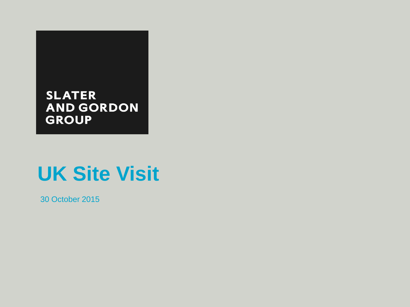### **SLATER AND GORDON GROUP**

## **UK Site Visit**

30 October 2015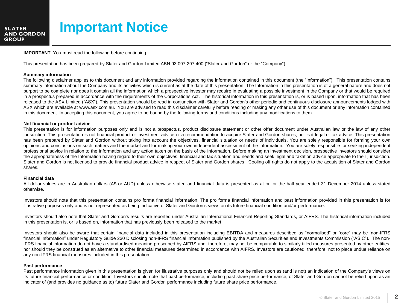

### **Important Notice**

**IMPORTANT**: You must read the following before continuing.

This presentation has been prepared by Slater and Gordon Limited ABN 93 097 297 400 ("Slater and Gordon" or the "Company").

#### **Summary information**

The following disclaimer applies to this document and any information provided regarding the information contained in this document (the "Information"). This presentation contains summary information about the Company and its activities which is current as at the date of this presentation. The Information in this presentation is of a general nature and does not purport to be complete nor does it contain all the information which a prospective investor may require in evaluating a possible investment in the Company or that would be required in a prospectus prepared in accordance with the requirements of the Corporations Act. The historical information in this presentation is, or is based upon, information that has been released to the ASX Limited ("ASX"). This presentation should be read in conjunction with Slater and Gordon's other periodic and continuous disclosure announcements lodged with ASX which are available at www.asx.com.au. You are advised to read this disclaimer carefully before reading or making any other use of this document or any information contained in this document. In accepting this document, you agree to be bound by the following terms and conditions including any modifications to them.

#### **Not financial or product advice**

This presentation is for information purposes only and is not a prospectus, product disclosure statement or other offer document under Australian law or the law of any other jurisdiction. This presentation is not financial product or investment advice or a recommendation to acquire Slater and Gordon shares, nor is it legal or tax advice. This presentation has been prepared by Slater and Gordon without taking into account the objectives, financial situation or needs of individuals. You are solely responsible for forming your own opinions and conclusions on such matters and the market and for making your own independent assessment of the Information. You are solely responsible for seeking independent professional advice in relation to the Information and any action taken on the basis of the Information. Before making an investment decision, prospective investors should consider the appropriateness of the Information having regard to their own objectives, financial and tax situation and needs and seek legal and taxation advice appropriate to their jurisdiction. Slater and Gordon is not licensed to provide financial product advice in respect of Slater and Gordon shares. Cooling off rights do not apply to the acquisition of Slater and Gordon shares.

#### **Financial data**

All dollar values are in Australian dollars (A\$ or AUD) unless otherwise stated and financial data is presented as at or for the half year ended 31 December 2014 unless stated otherwise.

Investors should note that this presentation contains pro forma financial information. The pro forma financial information and past information provided in this presentation is for illustrative purposes only and is not represented as being indicative of Slater and Gordon's views on its future financial condition and/or performance.

Investors should also note that Slater and Gordon's results are reported under Australian International Financial Reporting Standards, or AIFRS. The historical information included in this presentation is, or is based on, information that has previously been released to the market.

Investors should also be aware that certain financial data included in this presentation including EBITDA and measures described as "normalised" or "core" may be 'non-IFRS financial information" under Regulatory Guide 230 Disclosing non-IFRS financial information published by the Australian Securities and Investments Commission ("ASIC"). The non-IFRS financial information do not have a standardised meaning prescribed by AIFRS and, therefore, may not be comparable to similarly titled measures presented by other entities, nor should they be construed as an alternative to other financial measures determined in accordance with AIFRS. Investors are cautioned, therefore, not to place undue reliance on any non-IFRS financial measures included in this presentation.

#### **Past performance**

Past performance information given in this presentation is given for illustrative purposes only and should not be relied upon as (and is not) an indication of the Company's views on its future financial performance or condition. Investors should note that past performance, including past share price performance, of Slater and Gordon cannot be relied upon as an indicator of (and provides no guidance as to) future Slater and Gordon performance including future share price performance.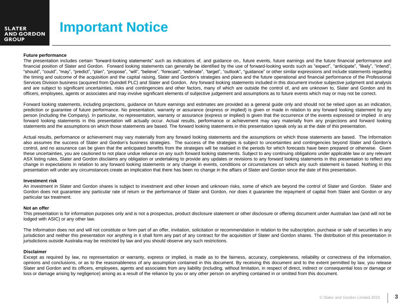

### **Important Notice**

#### **Future performance**

The presentation includes certain "forward-looking statements" such as indications of, and guidance on,. future events, future earnings and the future financial performance and financial position of Slater and Gordon. Forward looking statements can generally be identified by the use of forward-looking words such as "expect", "anticipate", "likely", "intend", "should", "could", "may", "predict", "plan", "propose", "will", "believe", "forecast", "estimate", "target", "outlook", "guidance" or other similar expressions and include statements regarding the timing and outcome of the acquisition and the capital raising, Slater and Gordon's strategies and plans and the future operational and financial performance of the Professional Services Division business (acquired from Quindell PLC) and Slater and Gordon. Any forward looking statements included in this document involve subjective judgment and analysis and are subject to significant uncertainties, risks and contingencies and other factors, many of which are outside the control of, and are unknown to, Slater and Gordon and its officers, employees, agents or associates and may involve significant elements of subjective judgement and assumptions as to future events which may or may not be correct.

Forward looking statements, including projections, guidance on future earnings and estimates are provided as a general guide only and should not be relied upon as an indication, prediction or guarantee of future performance. No presentation, warranty or assurance (express or implied) is given or made in relation to any forward looking statement by any person (including the Company). In particular, no representation, warranty or assurance (express or implied) is given that the occurrence of the events expressed or implied in any forward looking statements in this presentation will actually occur. Actual results, performance or achievement may vary materially from any projections and forward looking statements and the assumptions on which those statements are based. The forward looking statements in this presentation speak only as at the date of this presentation.

Actual results, performance or achievement may vary materially from any forward looking statements and the assumptions on which those statements are based. The Information also assumes the success of Slater and Gordon's business strategies. The success of the strategies is subject to uncertainties and contingencies beyond Slater and Gordon's control, and no assurance can be given that the anticipated benefits from the strategies will be realised in the periods for which forecasts have been prepared or otherwise. Given these uncertainties, you are cautioned to not place undue reliance on any such forward looking statements. Subject to any continuing obligations under applicable law or any relevant ASX listing rules, Slater and Gordon disclaims any obligation or undertaking to provide any updates or revisions to any forward looking statements in this presentation to reflect any change in expectations in relation to any forward looking statements or any change in events, conditions or circumstances on which any such statement is based. Nothing in this presentation will under any circumstances create an implication that there has been no change in the affairs of Slater and Gordon since the date of this presentation.

#### **Investment risk**

An investment in Slater and Gordon shares is subject to investment and other known and unknown risks, some of which are beyond the control of Slater and Gordon. Slater and Gordon does not guarantee any particular rate of return or the performance of Slater and Gordon, nor does it guarantee the repayment of capital from Slater and Gordon or any particular tax treatment.

#### **Not an offer**

This presentation is for information purposes only and is not a prospectus, product disclosure statement or other disclosure or offering document under Australian law (and will not be lodged with ASIC) or any other law.

The Information does not and will not constitute or form part of an offer, invitation, solicitation or recommendation in relation to the subscription, purchase or sale of securities in any jurisdiction and neither this presentation nor anything in it shall form any part of any contract for the acquisition of Slater and Gordon shares. The distribution of this presentation in jurisdictions outside Australia may be restricted by law and you should observe any such restrictions.

#### **Disclaimer**

Except as required by law, no representation or warranty, express or implied, is made as to the fairness, accuracy, completeness, reliability or correctness of the Information, opinions and conclusions, or as to the reasonableness of any assumption contained in this document. By receiving this document and to the extent permitted by law, you release Slater and Gordon and its officers, employees, agents and associates from any liability (including, without limitation, in respect of direct, indirect or consequential loss or damage or loss or damage arising by negligence) arising as a result of the reliance by you or any other person on anything contained in or omitted from this document.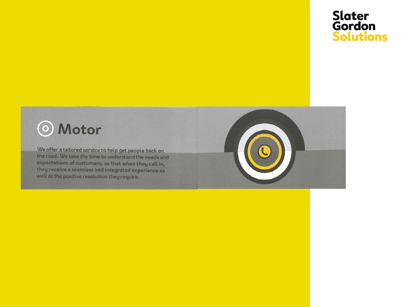### Slater<br>Gordon **Solutions**

### **O** Motor

We offer a tailored service to help get people back on the road. We take the time to understand the needs and expectations of customers, so that when they call in, they receive a seamless and integrated experience as well as the positive resolution they require.

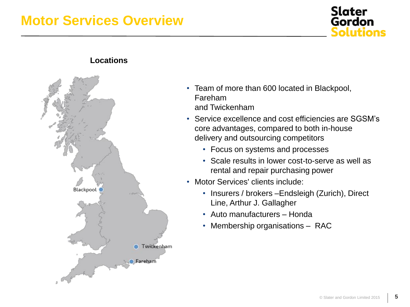### **Motor Services Overview**



**Locations**



- Team of more than 600 located in Blackpool, Fareham and Twickenham
- Service excellence and cost efficiencies are SGSM's core advantages, compared to both in-house delivery and outsourcing competitors
	- Focus on systems and processes
	- Scale results in lower cost-to-serve as well as rental and repair purchasing power
- Motor Services' clients include:
	- Insurers / brokers –Endsleigh (Zurich), Direct Line, Arthur J. Gallagher
	- Auto manufacturers Honda
	- Membership organisations RAC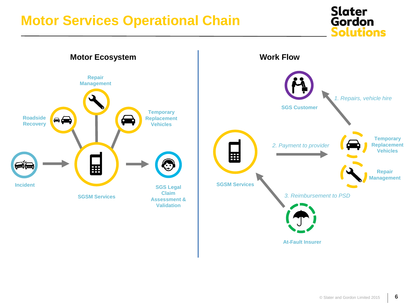### **Motor Services Operational Chain**





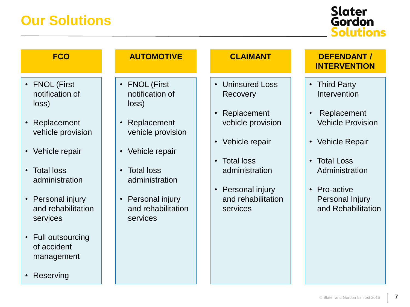| <b>FCO</b>                                                                                                                                                                                                                                                                                  | <b>AUTOMOTIVE</b>                                                                                                                                                                                                                                    | <b>CLAIMANT</b>                                                                                                                                                                                                                                      | <b>DEFENDANT /</b><br><b>INTERVENTION</b>                                                                                                                                                                            |
|---------------------------------------------------------------------------------------------------------------------------------------------------------------------------------------------------------------------------------------------------------------------------------------------|------------------------------------------------------------------------------------------------------------------------------------------------------------------------------------------------------------------------------------------------------|------------------------------------------------------------------------------------------------------------------------------------------------------------------------------------------------------------------------------------------------------|----------------------------------------------------------------------------------------------------------------------------------------------------------------------------------------------------------------------|
| • FNOL (First<br>notification of<br>loss)<br>• Replacement<br>vehicle provision<br>• Vehicle repair<br><b>Total loss</b><br>$\bullet$<br>administration<br>• Personal injury<br>and rehabilitation<br>services<br>• Full outsourcing<br>of accident<br>management<br>Reserving<br>$\bullet$ | <b>FNOL (First</b><br>$\bullet$<br>notification of<br>loss)<br>Replacement<br>vehicle provision<br>Vehicle repair<br>$\bullet$<br><b>Total loss</b><br>$\bullet$<br>administration<br>Personal injury<br>$\bullet$<br>and rehabilitation<br>services | <b>Uninsured Loss</b><br>$\bullet$<br>Recovery<br>Replacement<br>$\bullet$<br>vehicle provision<br>Vehicle repair<br>$\bullet$<br><b>Total loss</b><br>$\bullet$<br>administration<br>Personal injury<br>$\bullet$<br>and rehabilitation<br>services | • Third Party<br>Intervention<br>Replacement<br><b>Vehicle Provision</b><br>• Vehicle Repair<br><b>Total Loss</b><br>$\bullet$<br>Administration<br>Pro-active<br>$\bullet$<br>Personal Injury<br>and Rehabilitation |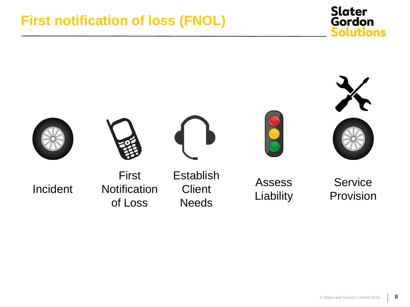### **First notification of loss (FNOL)**



**Slater** Gordon

**Solutions**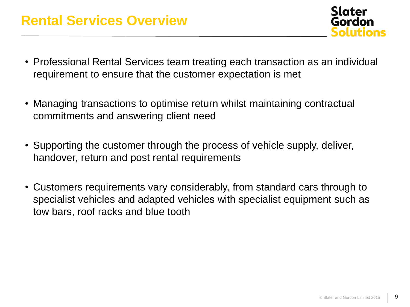**Slater** Gordon solutions

- Professional Rental Services team treating each transaction as an individual requirement to ensure that the customer expectation is met
- Managing transactions to optimise return whilst maintaining contractual commitments and answering client need
- Supporting the customer through the process of vehicle supply, deliver, handover, return and post rental requirements
- Customers requirements vary considerably, from standard cars through to specialist vehicles and adapted vehicles with specialist equipment such as tow bars, roof racks and blue tooth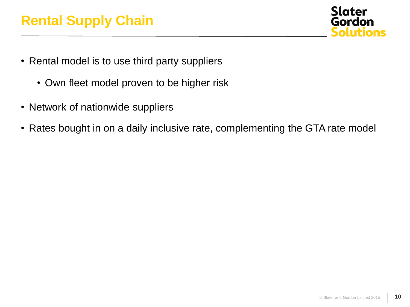

- Rental model is to use third party suppliers
	- Own fleet model proven to be higher risk
- Network of nationwide suppliers
- Rates bought in on a daily inclusive rate, complementing the GTA rate model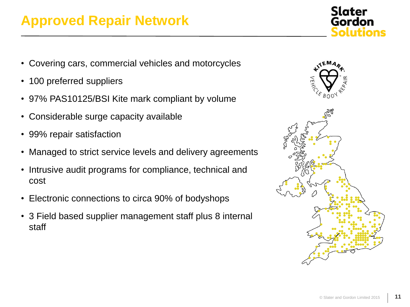### **Approved Repair Network**

- Covering cars, commercial vehicles and motorcycles
- 100 preferred suppliers
- 97% PAS10125/BSI Kite mark compliant by volume
- Considerable surge capacity available
- 99% repair satisfaction
- Managed to strict service levels and delivery agreements
- Intrusive audit programs for compliance, technical and cost
- Electronic connections to circa 90% of bodyshops
- 3 Field based supplier management staff plus 8 internal staff



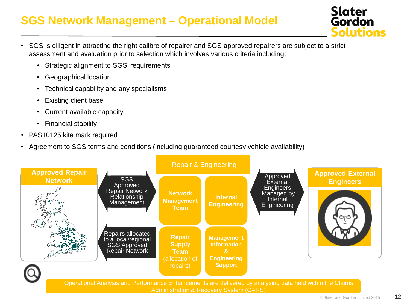### **SGS Network Management – Operational Model**



- SGS is diligent in attracting the right calibre of repairer and SGS approved repairers are subject to a strict assessment and evaluation prior to selection which involves various criteria including:
	- Strategic alignment to SGS' requirements
	- Geographical location
	- Technical capability and any specialisms
	- Existing client base
	- Current available capacity
	- Financial stability
- PAS10125 kite mark required
- Agreement to SGS terms and conditions (including guaranteed courtesy vehicle availability)

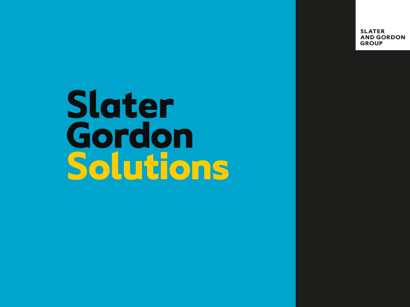**SLATER AND GORDON GROUP** 

# **Slater** Gordon Solutions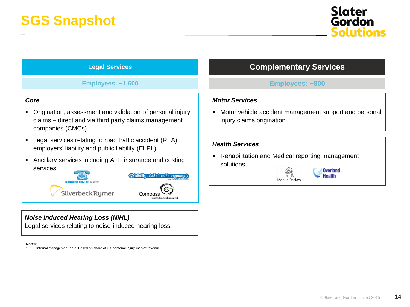

### **Legal Services**

**Employees: ~1,600 Employees: ~800**

#### *Core*

- Origination, assessment and validation of personal injury claims – direct and via third party claims management companies (CMCs)
- **-** Legal services relating to road traffic accident (RTA), employers' liability and public liability (ELPL)
- Ancillary services including ATE insurance and costing services



### *Noise Induced Hearing Loss (NIHL)*

Legal services relating to noise-induced hearing loss.

#### **Notes:**

1. Internal management data. Based on share of UK personal injury market revenue.

### **Complementary Services**

#### *Motor Services*

**Motor vehicle accident management support and personal** injury claims origination

#### *Health Services*

• Rehabilitation and Medical reporting management solutions



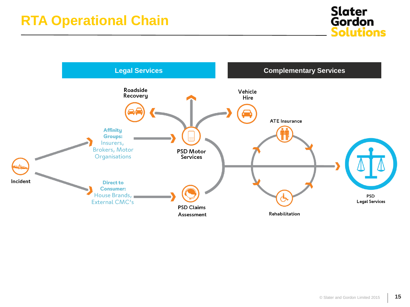

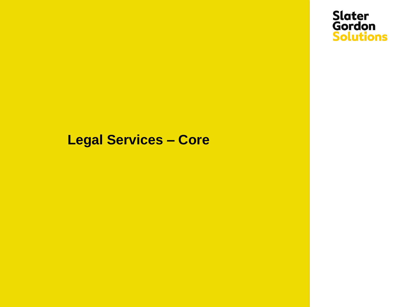

### **Legal Services – Core**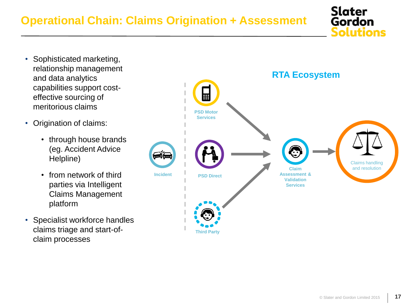- Sophisticated marketing, relationship management and data analytics capabilities support costeffective sourcing of meritorious claims
- Origination of claims:
	- through house brands (eg. Accident Advice Helpline)
	- from network of third parties via Intelligent Claims Management platform
- Specialist workforce handles claims triage and start-ofclaim processes



**Slater**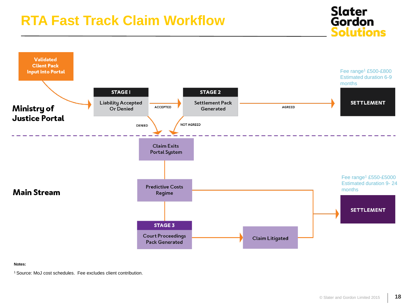### **RTA Fast Track Claim Workflow**



**Notes:**

<sup>1</sup> Source: MoJ cost schedules. Fee excludes client contribution.

**Slater Gordon** 

**Solutions**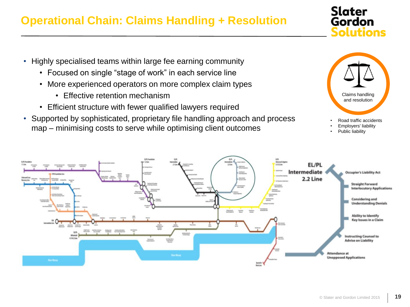### **Operational Chain: Claims Handling + Resolution**

- Highly specialised teams within large fee earning community
	- Focused on single "stage of work" in each service line
	- More experienced operators on more complex claim types
		- Effective retention mechanism
	- Efficient structure with fewer qualified lawyers required
- Supported by sophisticated, proprietary file handling approach and process map – minimising costs to serve while optimising client outcomes